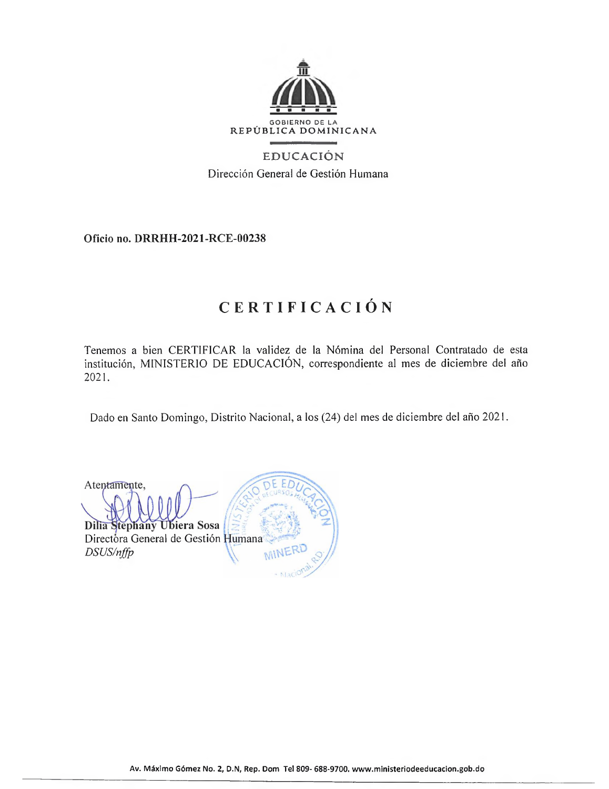

#### **EDUCACIÓN** Dirección General de Gestión Humana

**Oficio no. DRRHH-2021-RCE-00238**

### **CERTIFICACIÓN**

Tenemos a bien CERTIFICAR la validez de la Nómina del Personal Contratado de esta institución, MINISTERIO DE EDUCACIÓN, correspondiente al mes de diciembre del año 2021.

Dado en Santo Domingo, Distrito Nacional, a los (24) del mes de diciembre del año 2021.

Atentamente, Dilia Stephany Ubiera Sosa Directora General de Gestión Humana *DSUS/nffp* MIN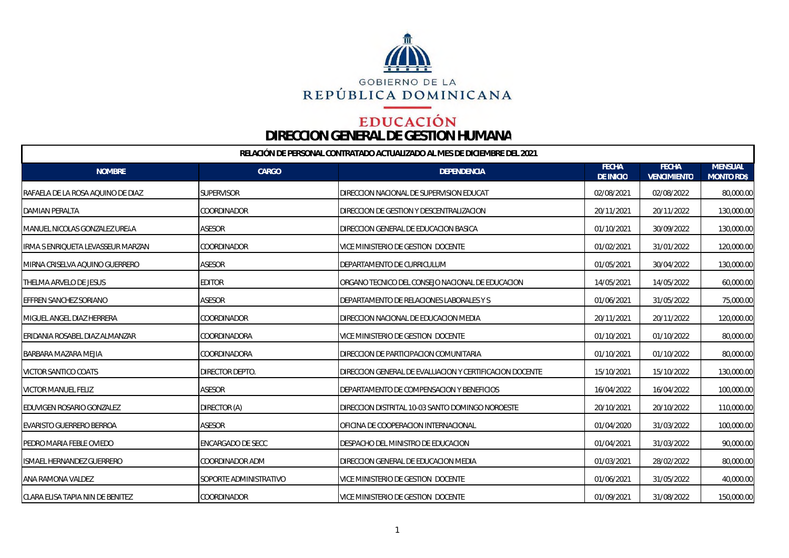

#### **EDUCACIÓN DIRECCIÓN GENERAL DE GESTIÓN HUMANA**

| RELACIÓN DE PERSONAL CONTRATADO ACTUALIZADO AL MES DE DICIEMBRE DEL 2021 |                          |                                                          |                                  |                                    |                                     |
|--------------------------------------------------------------------------|--------------------------|----------------------------------------------------------|----------------------------------|------------------------------------|-------------------------------------|
| <b>NOMBRE</b>                                                            | CARGO                    | <b>DEPENDENCIA</b>                                       | <b>FECHA</b><br><b>DE INICIO</b> | <b>FECHA</b><br><b>VENCIMIENTO</b> | <b>MENSUAL</b><br><b>MONTO RD\$</b> |
| IRAFAELA DE LA ROSA AQUINO DE DIAZ                                       | <b>SUPERVISOR</b>        | <b>DIRECCION NACIONAL DE SUPERVISION EDUCAT</b>          | 02/08/2021                       | 02/08/2022                         | 80,000.00                           |
| <b>DAMIAN PERALTA</b>                                                    | <b>COORDINADOR</b>       | <b>IDIRECCION DE GESTION Y DESCENTRALIZACION</b>         | 20/11/2021                       | 20/11/2022                         | 130,000.00                          |
| MANUEL NICOLAS GONZALEZ UREJA                                            | <b>ASESOR</b>            | <b>IDIRECCION GENERAL DE EDUCACION BASICA</b>            | 01/10/2021                       | 30/09/2022                         | 130,000.00                          |
| IRMA S ENRIQUETA LEVASSEUR MARZAN                                        | COORDINADOR              | VICE MINISTERIO DE GESTION DOCENTE                       | 01/02/2021                       | 31/01/2022                         | 120,000.00                          |
| MIRNA CRISELVA AQUINO GUERRERO                                           | <b>ASESOR</b>            | DEPARTAMENTO DE CURRICULUM                               | 01/05/2021                       | 30/04/2022                         | 130,000.00                          |
| THELMA ARVELO DE JESUS                                                   | <b>EDITOR</b>            | ORGANO TECNICO DEL CONSEJO NACIONAL DE EDUCACION         | 14/05/2021                       | 14/05/2022                         | 60,000.00                           |
| <b>IEFFREN SANCHEZ SORIANO</b>                                           | <b>ASESOR</b>            | DEPARTAMENTO DE RELACIONES LABORALES Y S                 | 01/06/2021                       | 31/05/2022                         | 75,000.00                           |
| İMIGUEL ANGEL DIAZ HERRERA                                               | <b>COORDINADOR</b>       | DIRECCION NACIONAL DE EDUCACION MEDIA                    | 20/11/2021                       | 20/11/2022                         | 120,000.00                          |
| ERIDANIA ROSABEL DIAZ ALMANZAR                                           | COORDINADORA             | IVICE MINISTERIO DE GESTION DOCENTE                      | 01/10/2021                       | 01/10/2022                         | 80,000.00                           |
| <b>BARBARA MAZARA MEJIA</b>                                              | COORDINADORA             | <b>DIRECCION DE PARTICIPACION COMUNITARIA</b>            | 01/10/2021                       | 01/10/2022                         | 80,000.00                           |
| VICTOR SANTICO COATS                                                     | <b>DIRECTOR DEPTO.</b>   | IDIRECCION GENERAL DE EVALUACION Y CERTIFICACION DOCENTE | 15/10/2021                       | 15/10/2022                         | 130,000.00                          |
| <b>VICTOR MANUEL FELIZ</b>                                               | <b>ASESOR</b>            | DEPARTAMENTO DE COMPENSACION Y BENEFICIOS                | 16/04/2022                       | 16/04/2022                         | 100,000.00                          |
| EDUVIGEN ROSARIO GONZALEZ                                                | DIRECTOR (A)             | <b>IDIRECCION DISTRITAL 10-03 SANTO DOMINGO NOROESTE</b> | 20/10/2021                       | 20/10/2022                         | 110,000.00                          |
| <b>EVARISTO GUERRERO BERROA</b>                                          | <b>ASESOR</b>            | OFICINA DE COOPERACION INTERNACIONAL                     | 01/04/2020                       | 31/03/2022                         | 100,000.00                          |
| PEDRO MARIA FEBLE OVIEDO                                                 | <b>ENCARGADO DE SECC</b> | DESPACHO DEL MINISTRO DE EDUCACION                       | 01/04/2021                       | 31/03/2022                         | 90,000.00                           |
| ISMAEL HERNANDEZ GUERRERO                                                | COORDINADOR ADM          | DIRECCION GENERAL DE EDUCACION MEDIA                     | 01/03/2021                       | 28/02/2022                         | 80,000.00                           |
| <b>ANA RAMONA VALDEZ</b>                                                 | SOPORTE ADMINISTRATIVO   | VICE MINISTERIO DE GESTION DOCENTE                       | 01/06/2021                       | 31/05/2022                         | 40,000.00                           |
| lCLARA ELISA TAPIA NIN DE BENITEZ                                        | <b>COORDINADOR</b>       | VICE MINISTERIO DE GESTION DOCENTE                       | 01/09/2021                       | 31/08/2022                         | 150,000.00                          |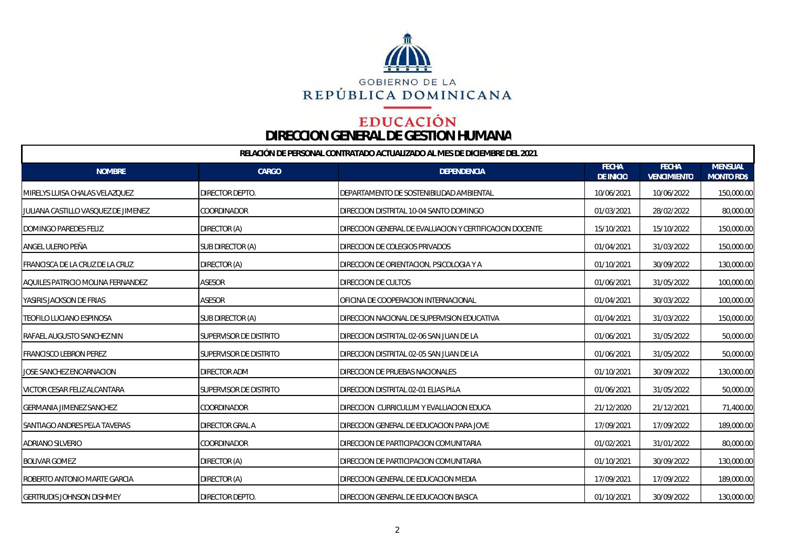

#### **EDUCACIÓN DIRECCIÓN GENERAL DE GESTIÓN HUMANA**

| RELACIÓN DE PERSONAL CONTRATADO ACTUALIZADO AL MES DE DICIEMBRE DEL 2021 |                               |                                                          |                                  |                                    |                                     |  |
|--------------------------------------------------------------------------|-------------------------------|----------------------------------------------------------|----------------------------------|------------------------------------|-------------------------------------|--|
| <b>NOMBRE</b>                                                            | CARGO                         | <b>DEPENDENCIA</b>                                       | <b>FECHA</b><br><b>DE INICIO</b> | <b>FECHA</b><br><b>VENCIMIENTO</b> | <b>MENSUAL</b><br><b>MONTO RD\$</b> |  |
| MIRELYS LUISA CHALAS VELAZQUEZ                                           | DIRECTOR DEPTO.               | <b>IDEPARTAMENTO DE SOSTENIBILIDAD AMBIENTAL</b>         | 10/06/2021                       | 10/06/2022                         | 150,000.00                          |  |
| JULIANA CASTILLO VASQUEZ DE JIMENEZ                                      | COORDINADOR                   | DIRECCION DISTRITAL 10-04 SANTO DOMINGO                  | 01/03/2021                       | 28/02/2022                         | 80,000.00                           |  |
| DOMINGO PAREDES FELIZ                                                    | DIRECTOR (A)                  | IDIRECCION GENERAL DE EVALUACION Y CERTIFICACION DOCENTE | 15/10/2021                       | 15/10/2022                         | 150,000.00                          |  |
| ANGEL ULERIO PEÑA                                                        | SUB DIRECTOR (A)              | DIRECCION DE COLEGIOS PRIVADOS                           | 01/04/2021                       | 31/03/2022                         | 150,000.00                          |  |
| FRANCISCA DE LA CRUZ DE LA CRUZ                                          | DIRECTOR (A)                  | DIRECCION DE ORIENTACION, PSICOLOGIA Y A                 | 01/10/2021                       | 30/09/2022                         | 130,000.00                          |  |
| AQUILES PATRICIO MOLINA FERNANDEZ                                        | <b>ASESOR</b>                 | <b>DIRECCION DE CULTOS</b>                               | 01/06/2021                       | 31/05/2022                         | 100,000.00                          |  |
| YASIRIS JACKSON DE FRIAS                                                 | <b>ASESOR</b>                 | <b>OFICINA DE COOPERACION INTERNACIONAL</b>              | 01/04/2021                       | 30/03/2022                         | 100,000.00                          |  |
| TEOFILO LUCIANO ESPINOSA                                                 | SUB DIRECTOR (A)              | <b>IDIRECCION NACIONAL DE SUPERVISION EDUCATIVA</b>      | 01/04/2021                       | 31/03/2022                         | 150,000.00                          |  |
| RAFAEL AUGUSTO SANCHEZ NIN                                               | <b>SUPERVISOR DE DISTRITO</b> | DIRECCION DISTRITAL 02-06 SAN JUAN DE LA                 | 01/06/2021                       | 31/05/2022                         | 50,000.00                           |  |
| FRANCISCO LEBRON PEREZ                                                   | <b>SUPERVISOR DE DISTRITO</b> | DIRECCION DISTRITAL 02-05 SAN JUAN DE LA                 | 01/06/2021                       | 31/05/2022                         | 50,000.00                           |  |
| JOSE SANCHEZ ENCARNACION                                                 | DIRECTOR ADM                  | <b>DIRECCION DE PRUEBAS NACIONALES</b>                   | 01/10/2021                       | 30/09/2022                         | 130,000.00                          |  |
| VICTOR CESAR FELIZ ALCANTARA                                             | SUPERVISOR DE DISTRITO        | DIRECCION DISTRITAL 02-01 ELIAS PIAA                     | 01/06/2021                       | 31/05/2022                         | 50,000.00                           |  |
| <b>GERMANIA JIMENEZ SANCHEZ</b>                                          | COORDINADOR                   | DIRECCION CURRICULUM Y EVALUACION EDUCA                  | 21/12/2020                       | 21/12/2021                         | 71,400.00                           |  |
| SANTIAGO ANDRES PELA TAVERAS                                             | <b>DIRECTOR GRAL A</b>        | <b>IDIRECCION GENERAL DE EDUCACION PARA JOVE</b>         | 17/09/2021                       | 17/09/2022                         | 189,000.00                          |  |
| <b>ADRIANO SILVERIO</b>                                                  | COORDINADOR                   | <b>DIRECCION DE PARTICIPACION COMUNITARIA</b>            | 01/02/2021                       | 31/01/2022                         | 80,000.00                           |  |
| <b>BOLIVAR GOMEZ</b>                                                     | DIRECTOR (A)                  | <b>DIRECCION DE PARTICIPACION COMUNITARIA</b>            | 01/10/2021                       | 30/09/2022                         | 130,000.00                          |  |
| ROBERTO ANTONIO MARTE GARCIA                                             | DIRECTOR (A)                  | <b>DIRECCION GENERAL DE EDUCACION MEDIA</b>              | 17/09/2021                       | 17/09/2022                         | 189,000.00                          |  |
| <b>GERTRUDIS JOHNSON DISHMEY</b>                                         | DIRECTOR DEPTO.               | DIRECCION GENERAL DE EDUCACION BASICA                    | 01/10/2021                       | 30/09/2022                         | 130,000.00                          |  |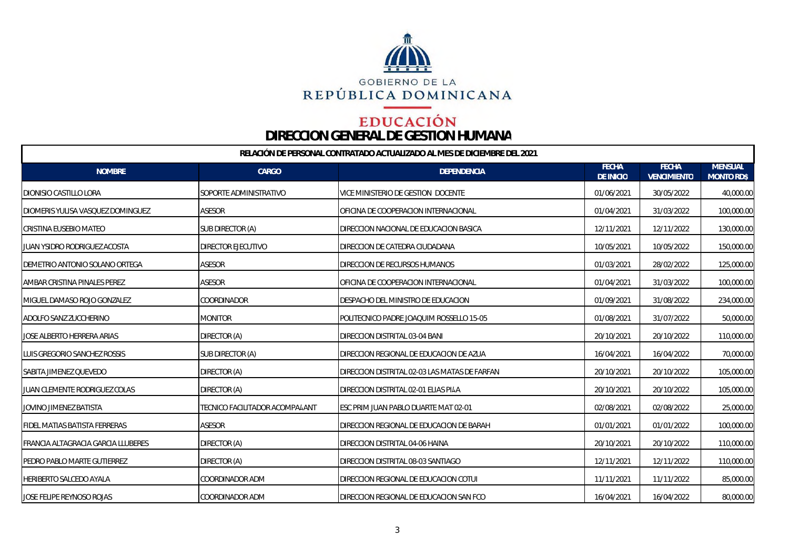

# **DIRECCIÓN GENERAL DE GESTIÓN HUMANA**

| RELACIÓN DE PERSONAL CONTRATADO ACTUALIZADO AL MES DE DICIEMBRE DEL 2021 |                                |                                                  |                                  |                                    |                                     |  |
|--------------------------------------------------------------------------|--------------------------------|--------------------------------------------------|----------------------------------|------------------------------------|-------------------------------------|--|
| <b>NOMBRE</b>                                                            | CARGO                          | <b>DEPENDENCIA</b>                               | <b>FECHA</b><br><b>DE INICIO</b> | <b>FECHA</b><br><b>VENCIMIENTO</b> | <b>MENSUAL</b><br><b>MONTO RD\$</b> |  |
| <b>DIONISIO CASTILLO LORA</b>                                            | SOPORTE ADMINISTRATIVO         | VICE MINISTERIO DE GESTION DOCENTE               | 01/06/2021                       | 30/05/2022                         | 40,000.00                           |  |
| DIOMERIS YULISA VASQUEZ DOMINGUEZ                                        | <b>ASESOR</b>                  | <b>OFICINA DE COOPERACION INTERNACIONAL</b>      | 01/04/2021                       | 31/03/2022                         | 100,000.00                          |  |
| CRISTINA EUSEBIO MATEO                                                   | SUB DIRECTOR (A)               | <b>DIRECCION NACIONAL DE EDUCACION BASICA</b>    | 12/11/2021                       | 12/11/2022                         | 130,000.00                          |  |
| IJUAN YSIDRO RODRIGUEZ ACOSTA                                            | <b>DIRECTOR EJECUTIVO</b>      | DIRECCION DE CATEDRA CIUDADANA                   | 10/05/2021                       | 10/05/2022                         | 150,000.00                          |  |
| IDEMETRIO ANTONIO SOLANO ORTEGA                                          | <b>ASESOR</b>                  | <b>IDIRECCION DE RECURSOS HUMANOS</b>            | 01/03/2021                       | 28/02/2022                         | 125,000.00                          |  |
| IAMBAR CRISTINA PINALES PEREZ                                            | <b>ASESOR</b>                  | <b>OFICINA DE COOPERACION INTERNACIONAL</b>      | 01/04/2021                       | 31/03/2022                         | 100,000.00                          |  |
| MIGUEL DAMASO ROJO GONZALEZ                                              | COORDINADOR                    | DESPACHO DEL MINISTRO DE EDUCACION               | 01/09/2021                       | 31/08/2022                         | 234,000.00                          |  |
| <b>ADOLFO SANZ ZUCCHERINO</b>                                            | <b>MONITOR</b>                 | POLITECNICO PADRE JOAQUIM ROSSELLO 15-05         | 01/08/2021                       | 31/07/2022                         | 50,000.00                           |  |
| JOSE ALBERTO HERRERA ARIAS                                               | DIRECTOR (A)                   | <b>DIRECCION DISTRITAL 03-04 BANI</b>            | 20/10/2021                       | 20/10/2022                         | 110,000.00                          |  |
| LUIS GREGORIO SANCHEZ ROSSIS                                             | SUB DIRECTOR (A)               | DIRECCION REGIONAL DE EDUCACION DE AZUA          | 16/04/2021                       | 16/04/2022                         | 70,000.00                           |  |
| SABITA JIMENEZ QUEVEDO                                                   | DIRECTOR (A)                   | DIRECCION DISTRITAL 02-03 LAS MATAS DE FARFAN    | 20/10/2021                       | 20/10/2022                         | 105,000.00                          |  |
| JUAN CLEMENTE RODRIGUEZ COLAS                                            | DIRECTOR (A)                   | DIRECCION DISTRITAL 02-01 ELIAS PILA             | 20/10/2021                       | 20/10/2022                         | 105,000.00                          |  |
| JOVINO JIMENEZ BATISTA                                                   | TECNICO FACILITADOR ACOMPALANT | <b>IESC PRIM JUAN PABLO DUARTE MAT 02-01</b>     | 02/08/2021                       | 02/08/2022                         | 25,000.00                           |  |
| <b>FIDEL MATIAS BATISTA FERRERAS</b>                                     | <b>ASESOR</b>                  | <b>IDIRECCION REGIONAL DE EDUCACION DE BARAH</b> | 01/01/2021                       | 01/01/2022                         | 100,000.00                          |  |
| FRANCIA ALTAGRACIA GARCIA LLUBERES                                       | DIRECTOR (A)                   | DIRECCION DISTRITAL 04-06 HAINA                  | 20/10/2021                       | 20/10/2022                         | 110,000.00                          |  |
| IPEDRO PABLO MARTE GUTIERREZ                                             | DIRECTOR (A)                   | DIRECCION DISTRITAL 08-03 SANTIAGO               | 12/11/2021                       | 12/11/2022                         | 110,000.00                          |  |
| <b>HERIBERTO SALCEDO AYALA</b>                                           | COORDINADOR ADM                | DIRECCION REGIONAL DE EDUCACION COTUI            | 11/11/2021                       | 11/11/2022                         | 85,000.00                           |  |
| JOSE FELIPE REYNOSO ROJAS                                                | COORDINADOR ADM                | DIRECCION REGIONAL DE EDUCACION SAN FCO          | 16/04/2021                       | 16/04/2022                         | 80,000.00                           |  |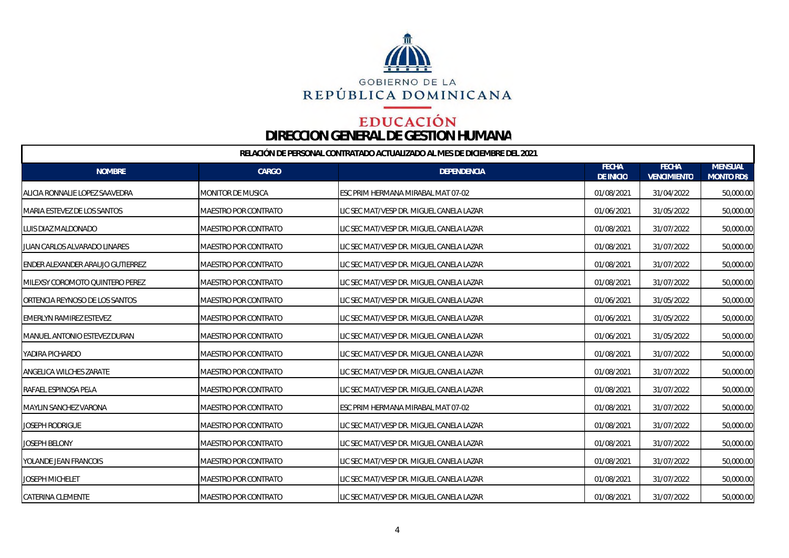

# **DIRECCIÓN GENERAL DE GESTIÓN HUMANA**

| RELACIÓN DE PERSONAL CONTRATADO ACTUALIZADO AL MES DE DICIEMBRE DEL 2021 |                             |                                            |                                  |                                    |                                     |
|--------------------------------------------------------------------------|-----------------------------|--------------------------------------------|----------------------------------|------------------------------------|-------------------------------------|
| <b>NOMBRE</b>                                                            | CARGO                       | <b>DEPENDENCIA</b>                         | <b>FECHA</b><br><b>DE INICIO</b> | <b>FECHA</b><br><b>VENCIMIENTO</b> | <b>MENSUAL</b><br><b>MONTO RD\$</b> |
| ALICIA RONNALIE LOPEZ SAAVEDRA                                           | MONITOR DE MUSICA           | IESC PRIM HERMANA MIRABAL MAT 07-02        | 01/08/2021                       | 31/04/2022                         | 50,000.00                           |
| MARIA ESTEVEZ DE LOS SANTOS                                              | MAESTRO POR CONTRATO        | LIC SEC MAT/VESP DR. MIGUEL CANELA LAZAR   | 01/06/2021                       | 31/05/2022                         | 50,000.00                           |
| LUIS DIAZ MALDONADO                                                      | MAESTRO POR CONTRATO        | LIC SEC MAT/VESP DR. MIGUEL CANELA LAZAR   | 01/08/2021                       | 31/07/2022                         | 50,000.00                           |
| IJUAN CARLOS ALVARADO LINARES                                            | <b>MAESTRO POR CONTRATO</b> | LIC SEC MAT/VESP DR. MIGUEL CANELA LAZAR   | 01/08/2021                       | 31/07/2022                         | 50,000.00                           |
| <b>ENDER ALEXANDER ARAUJO GUTIERREZ</b>                                  | <b>MAESTRO POR CONTRATO</b> | LIC SEC MAT/VESP DR. MIGUEL CANELA LAZAR   | 01/08/2021                       | 31/07/2022                         | 50,000.00                           |
| MILEXSY COROMOTO QUINTERO PEREZ                                          | MAESTRO POR CONTRATO        | LIC SEC MAT/VESP DR. MIGUEL CANELA LAZAR   | 01/08/2021                       | 31/07/2022                         | 50,000.00                           |
| ORTENCIA REYNOSO DE LOS SANTOS                                           | MAESTRO POR CONTRATO        | LIC SEC MAT/VESP DR. MIGUEL CANELA LAZAR   | 01/06/2021                       | 31/05/2022                         | 50,000.00                           |
| <b>EMERLYN RAMIREZ ESTEVEZ</b>                                           | MAESTRO POR CONTRATO        | LIC SEC MAT/VESP DR. MIGUEL CANELA LAZAR   | 01/06/2021                       | 31/05/2022                         | 50,000.00                           |
| IMANUEL ANTONIO ESTEVEZ DURAN                                            | <b>MAESTRO POR CONTRATO</b> | LIC SEC MAT/VESP DR. MIGUEL CANELA LAZAR   | 01/06/2021                       | 31/05/2022                         | 50,000.00                           |
| YADIRA PICHARDO                                                          | <b>MAESTRO POR CONTRATO</b> | LIC SEC MAT/VESP DR. MIGUEL CANELA LAZAR   | 01/08/2021                       | 31/07/2022                         | 50,000.00                           |
| <b>ANGELICA WILCHES ZARATE</b>                                           | <b>MAESTRO POR CONTRATO</b> | LIC SEC MAT/VESP DR. MIGUEL CANELA LAZAR   | 01/08/2021                       | 31/07/2022                         | 50,000.00                           |
| RAFAEL ESPINOSA PELA                                                     | MAESTRO POR CONTRATO        | LIC SEC MAT/VESP DR. MIGUEL CANELA LAZAR   | 01/08/2021                       | 31/07/2022                         | 50,000.00                           |
| <b>MAYLIN SANCHEZ VARONA</b>                                             | MAESTRO POR CONTRATO        | <b>IESC PRIM HERMANA MIRABAL MAT 07-02</b> | 01/08/2021                       | 31/07/2022                         | 50,000.00                           |
| <b>JOSEPH RODRIGUE</b>                                                   | MAESTRO POR CONTRATO        | LIC SEC MAT/VESP DR. MIGUEL CANELA LAZAR   | 01/08/2021                       | 31/07/2022                         | 50,000.00                           |
| JOSEPH BELONY                                                            | <b>MAESTRO POR CONTRATO</b> | LIC SEC MAT/VESP DR. MIGUEL CANELA LAZAR   | 01/08/2021                       | 31/07/2022                         | 50,000.00                           |
| YOLANDE JEAN FRANCOIS                                                    | MAESTRO POR CONTRATO        | LIC SEC MAT/VESP DR. MIGUEL CANELA LAZAR   | 01/08/2021                       | 31/07/2022                         | 50,000.00                           |
| <b>JOSEPH MICHELET</b>                                                   | MAESTRO POR CONTRATO        | LIC SEC MAT/VESP DR. MIGUEL CANELA LAZAR   | 01/08/2021                       | 31/07/2022                         | 50,000.00                           |
| <b>CATERINA CLEMENTE</b>                                                 | MAESTRO POR CONTRATO        | LIC SEC MAT/VESP DR. MIGUEL CANELA LAZAR   | 01/08/2021                       | 31/07/2022                         | 50,000.00                           |